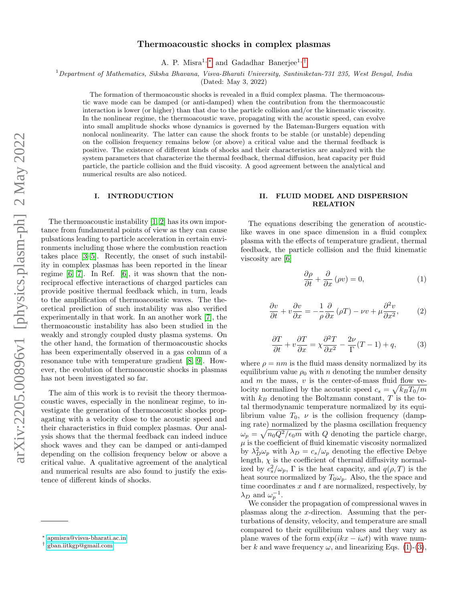# Thermoacoustic shocks in complex plasmas

A. P. Misra<sup>1, [∗](#page-0-0)</sup> and Gadadhar Banerjee<sup>1,[†](#page-0-1)</sup>

 $1$ Department of Mathematics, Siksha Bhavana, Visva-Bharati University, Santiniketan-731 235, West Bengal, India

(Dated: May 3, 2022)

The formation of thermoacoustic shocks is revealed in a fluid complex plasma. The thermoacoustic wave mode can be damped (or anti-damped) when the contribution from the thermoacoustic interaction is lower (or higher) than that due to the particle collision and/or the kinematic viscosity. In the nonlinear regime, the thermoacoustic wave, propagating with the acoustic speed, can evolve into small amplitude shocks whose dynamics is governed by the Bateman-Burgers equation with nonlocal nonlinearity. The latter can cause the shock fronts to be stable (or unstable) depending on the collision frequency remains below (or above) a critical value and the thermal feedback is positive. The existence of different kinds of shocks and their characteristics are analyzed with the system parameters that characterize the thermal feedback, thermal diffusion, heat capacity per fluid particle, the particle collision and the fluid viscosity. A good agreement between the analytical and numerical results are also noticed.

### I. INTRODUCTION

The thermoacoustic instability [\[1,](#page-8-0) [2\]](#page-8-1) has its own importance from fundamental points of view as they can cause pulsations leading to particle acceleration in certain environments including those where the combustion reaction takes place [\[3–](#page-8-2)[5\]](#page-8-3). Recently, the onset of such instability in complex plasmas has been reported in the linear regime [\[6,](#page-8-4) [7\]](#page-8-5). In Ref. [\[6\]](#page-8-4), it was shown that the nonreciprocal effective interactions of charged particles can provide positive thermal feedback which, in turn, leads to the amplification of thermoacoustic waves. The theoretical prediction of such instability was also verified experimentally in that work. In an another work [\[7\]](#page-8-5), the thermoacoustic instability has also been studied in the weakly and strongly coupled dusty plasma systems. On the other hand, the formation of thermoacoustic shocks has been experimentally observed in a gas column of a resonance tube with temperature gradient [\[8,](#page-8-6) [9\]](#page-8-7). However, the evolution of thermoacoustic shocks in plasmas has not been investigated so far.

The aim of this work is to revisit the theory thermoacoustic waves, especially in the nonlinear regime, to investigate the generation of thermoacosutic shocks propagating with a velocity close to the acoustic speed and their characteristics in fluid complex plasmas. Our analysis shows that the thermal feedback can indeed induce shock waves and they can be damped or anti-damped depending on the collision frequency below or above a critical value. A qualitative agreement of the analytical and numerical results are also found to justify the existence of different kinds of shocks.

### <span id="page-0-4"></span>II. FLUID MODEL AND DISPERSION RELATION

The equations describing the generation of acousticlike waves in one space dimension in a fluid complex plasma with the effects of temperature gradient, thermal feedback, the particle collision and the fluid kinematic viscosity are [\[6\]](#page-8-4)

<span id="page-0-2"></span>
$$
\frac{\partial \rho}{\partial t} + \frac{\partial}{\partial x} (\rho v) = 0, \tag{1}
$$

$$
\frac{\partial v}{\partial t} + v \frac{\partial v}{\partial x} = -\frac{1}{\rho} \frac{\partial}{\partial x} (\rho T) - \nu v + \mu \frac{\partial^2 v}{\partial x^2}, \qquad (2)
$$

<span id="page-0-3"></span>
$$
\frac{\partial T}{\partial t} + v \frac{\partial T}{\partial x} = \chi \frac{\partial^2 T}{\partial x^2} - \frac{2\nu}{\Gamma} (T - 1) + q,\tag{3}
$$

where  $\rho = nm$  is the fluid mass density normalized by its equilibrium value  $\rho_0$  with n denoting the number density and  $m$  the mass,  $v$  is the center-of-mass fluid flow velocity normalized by the acoustic speed  $c_s = \sqrt{k_B T_0/m}$ with  $k_B$  denoting the Boltzmann constant, T is the total thermodynamic temperature normalized by its equilibrium value  $T_0$ ,  $\nu$  is the collision frequency (damping rate) normalized by the plasma oscillation frequency  $\omega_p = \sqrt{n_0 Q^2/\epsilon_0 m}$  with Q denoting the particle charge,  $\mu$  is the coefficient of fluid kinematic viscosity normalized by  $\lambda_D^2 \omega_p$  with  $\lambda_D = c_s/\omega_p$  denoting the effective Debye length,  $\chi$  is the coefficient of thermal diffusivity normalized by  $c_s^2/\omega_p$ ,  $\Gamma$  is the heat capacity, and  $q(\rho, T)$  is the heat source normalized by  $T_0 \omega_p$ . Also, the the space and time coordinates  $x$  and  $t$  are normalized, respectively, by  $\lambda_D$  and  $\omega_p^{-1}$ .

We consider the propagation of compressional waves in plasmas along the x-direction. Assuming that the perturbations of density, velocity, and temperature are small compared to their equilibrium values and they vary as plane waves of the form  $\exp(ikx - i\omega t)$  with wave number k and wave frequency  $\omega$ , and linearizing Eqs. [\(1\)](#page-0-2)-[\(3\)](#page-0-3),

<span id="page-0-0"></span><sup>∗</sup> [apmisra@visva-bharati.ac.in](mailto:apmisra@visva-bharati.ac.in)

<span id="page-0-1"></span><sup>†</sup> [gban.iitkgp@gmail.com](mailto:gban.iitkgp@gmail.com)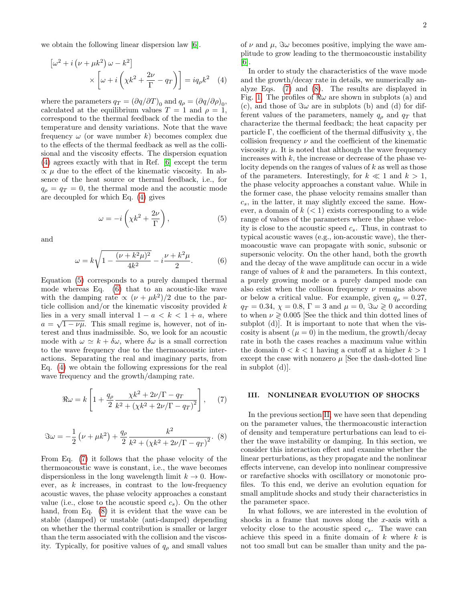we obtain the following linear dispersion law [\[6\]](#page-8-4).

$$
\left[\omega^2 + i\left(\nu + \mu k^2\right)\omega - k^2\right] \times \left[\omega + i\left(\chi k^2 + \frac{2\nu}{\Gamma} - q_T\right)\right] = iq_\rho k^2 \quad (4)
$$

where the parameters  $q_T = (\partial q/\partial T)_0$  and  $q_\rho = (\partial q/\partial \rho)_0$ , calculated at the equilibrium values  $T = 1$  and  $\rho = 1$ , correspond to the thermal feedback of the media to the temperature and density variations. Note that the wave frequency  $\omega$  (or wave number k) becomes complex due to the effects of the thermal feedback as well as the collisional and the viscosity effects. The dispersion equation [\(4\)](#page-1-0) agrees exactly with that in Ref. [\[6\]](#page-8-4) except the term  $\propto \mu$  due to the effect of the kinematic viscosity. In absence of the heat source or thermal feedback, i.e., for  $q_{\rho} = q_T = 0$ , the thermal mode and the acoustic mode are decoupled for which Eq. [\(4\)](#page-1-0) gives

<span id="page-1-1"></span>
$$
\omega = -i\left(\chi k^2 + \frac{2\nu}{\Gamma}\right),\tag{5}
$$

and

<span id="page-1-2"></span>
$$
\omega = k\sqrt{1 - \frac{(\nu + k^2\mu)^2}{4k^2}} - i\frac{\nu + k^2\mu}{2}.
$$
 (6)

Equation [\(5\)](#page-1-1) corresponds to a purely damped thermal mode whereas Eq. [\(6\)](#page-1-2) that to an acoustic-like wave with the damping rate  $\propto (\nu + \mu k^2)/2$  due to the particle collision and/or the kinematic viscosity provided  $k$ lies in a very small interval  $1 - a < k < 1 + a$ , where  $a = \sqrt{1 - \nu \mu}$ . This small regime is, however, not of interest and thus inadmissible. So, we look for an acoustic mode with  $\omega \simeq k + \delta \omega$ , where  $\delta \omega$  is a small correction to the wave frequency due to the thermoacoustic interactions. Separating the real and imaginary parts, from Eq. [\(4\)](#page-1-0) we obtain the following expressions for the real wave frequency and the growth/damping rate.

<span id="page-1-3"></span>
$$
\Re\omega = k \left[ 1 + \frac{q_{\rho}}{2} \frac{\chi k^2 + 2\nu/\Gamma - q_T}{k^2 + (\chi k^2 + 2\nu/\Gamma - q_T)^2} \right], \quad (7)
$$

<span id="page-1-4"></span>
$$
\Im \omega = -\frac{1}{2} \left( \nu + \mu k^2 \right) + \frac{q_\rho}{2} \frac{k^2}{k^2 + \left( \chi k^2 + 2\nu / \Gamma - q_T \right)^2}.
$$
 (8)

From Eq. [\(7\)](#page-1-3) it follows that the phase velocity of the thermoacoustic wave is constant, i.e., the wave becomes dispersionless in the long wavelength limit  $k \to 0$ . However, as  $k$  increases, in contrast to the low-frequency acoustic waves, the phase velocity approaches a constant value (i.e., close to the acoustic speed  $c_s$ ). On the other hand, from Eq. [\(8\)](#page-1-4) it is evident that the wave can be stable (damped) or unstable (anti-damped) depending on whether the thermal contribution is smaller or larger than the term associated with the collision and the viscosity. Typically, for positive values of  $q_\rho$  and small values

of  $\nu$  and  $\mu$ ,  $\Im \omega$  becomes positive, implying the wave amplitude to grow leading to the thermoacoustic instability [\[6\]](#page-8-4).

<span id="page-1-0"></span>In order to study the characteristics of the wave mode and the growth/decay rate in details, we numerically analyze Eqs. [\(7\)](#page-1-3) and [\(8\)](#page-1-4). The results are displayed in Fig. [1.](#page-2-0) The profiles of  $\Re\omega$  are shown in subplots (a) and (c), and those of  $\Im \omega$  are in subplots (b) and (d) for different values of the parameters, namely  $q_{\rho}$  and  $q_T$  that characterize the thermal feedback; the heat capacity per particle Γ, the coefficient of the thermal diffusivity  $\chi$ , the collision frequency  $\nu$  and the coefficient of the kinematic viscosity  $\mu$ . It is noted that although the wave frequency increases with  $k$ , the increase or decrease of the phase velocity depends on the ranges of values of  $k$  as well as those of the parameters. Interestingly, for  $k \ll 1$  and  $k > 1$ , the phase velocity approaches a constant value. While in the former case, the phase velocity remains smaller than  $c_s$ , in the latter, it may slightly exceed the same. However, a domain of  $k$   $(< 1)$  exists corresponding to a wide range of values of the parameters where the phase velocity is close to the acoustic speed  $c_s$ . Thus, in contrast to typical acoustic waves (e.g., ion-acoustic wave), the thermoacoustic wave can propagate with sonic, subsonic or supersonic velocity. On the other hand, both the growth and the decay of the wave amplitude can occur in a wide range of values of  $k$  and the parameters. In this context, a purely growing mode or a purely damped mode can also exist when the collison frequency  $\nu$  remains above or below a critical value. For example, given  $q_{\rho} = 0.27$ ,  $q_T = 0.34$ ,  $\chi = 0.8$ ,  $\Gamma = 3$  and  $\mu = 0$ ,  $\Im \omega \geq 0$  according to when  $\nu \geq 0.005$  [See the thick and thin dotted lines of subplot (d). It is important to note that when the viscosity is absent  $(\mu = 0)$  in the medium, the growth/decay rate in both the cases reaches a maximum value within the domain  $0 < k < 1$  having a cutoff at a higher  $k > 1$ except the case with nonzero  $\mu$  [See the dash-dotted line in subplot (d)].

### III. NONLINEAR EVOLUTION OF SHOCKS

In the previous section [II,](#page-0-4) we have seen that depending on the parameter values, the thermoacoustic interaction of density and temperature perturbations can lead to either the wave instability or damping. In this section, we consider this interaction effect and examine whether the linear perturbations, as they propagate and the nonlinear effects intervene, can develop into nonlinear compressive or rarefactive shocks with oscillatory or monotonic profiles. To this end, we derive an evolution equation for small amplitude shocks and study their characteristics in the parameter space.

In what follows, we are interested in the evolution of shocks in a frame that moves along the x-axis with a velocity close to the acoustic speed  $c_s$ . The wave can achieve this speed in a finite domain of  $k$  where  $k$  is not too small but can be smaller than unity and the pa-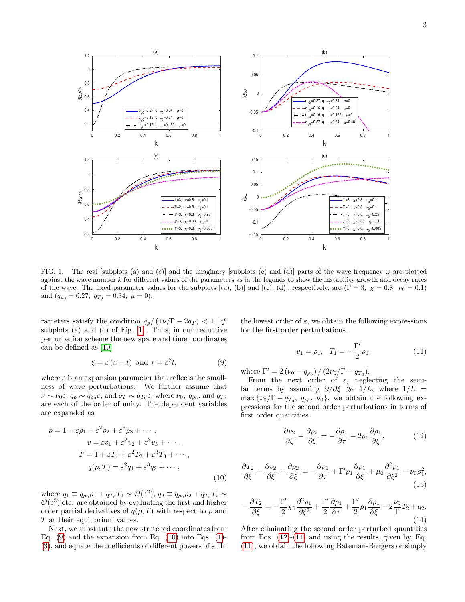

<span id="page-2-0"></span>FIG. 1. The real [subplots (a) and (c)] and the imaginary [subplots (c) and (d)] parts of the wave frequency  $\omega$  are plotted against the wave number k for different values of the parameters as in the legends to show the instability growth and decay rates of the wave. The fixed parameter values for the subplots [(a), (b)] and [(c), (d)], respectively, are  $(\Gamma = 3, \chi = 0.8, \nu_0 = 0.1)$ and  $(q_{\rho_0} = 0.27, q_{T_0} = 0.34, \mu = 0).$ 

rameters satisfy the condition  $q_{\rho}/(4\nu/\Gamma - 2q_T) < 1$  [cf. subplots (a) and (c) of Fig. [1\]](#page-2-0). Thus, in our reductive perturbation scheme the new space and time coordinates can be defined as [\[10\]](#page-8-8)

<span id="page-2-1"></span>
$$
\xi = \varepsilon (x - t) \text{ and } \tau = \varepsilon^2 t,\tag{9}
$$

where  $\varepsilon$  is an expansion parameter that reflects the smallness of wave perturbations. We further assume that  $\nu \sim \nu_0 \varepsilon, q_\rho \sim q_{\rho_0} \varepsilon$ , and  $q_T \sim q_{T_0} \varepsilon$ , where  $\nu_0$ ,  $q_{\rho_0}$ , and  $q_{T_0}$ are each of the order of unity. The dependent variables are expanded as

$$
\rho = 1 + \varepsilon \rho_1 + \varepsilon^2 \rho_2 + \varepsilon^3 \rho_3 + \cdots ,
$$
  
\n
$$
v = \varepsilon v_1 + \varepsilon^2 v_2 + \varepsilon^3 v_3 + \cdots ,
$$
  
\n
$$
T = 1 + \varepsilon T_1 + \varepsilon^2 T_2 + \varepsilon^3 T_3 + \cdots ,
$$
  
\n
$$
q(\rho, T) = \varepsilon^2 q_1 + \varepsilon^3 q_2 + \cdots ,
$$
  
\n(10)

where  $q_1 \equiv q_{\rho_0} \rho_1 + q_{T_0} T_1 \sim \mathcal{O}(\varepsilon^2)$ ,  $q_2 \equiv q_{\rho_0} \rho_2 + q_{T_0} T_2 \sim$  $\mathcal{O}(\varepsilon^3)$  etc. are obtained by evaluating the first and higher order partial derivatives of  $q(\rho, T)$  with respect to  $\rho$  and T at their equilibrium values.

Next, we substitute the new stretched coordinates from Eq.  $(9)$  and the expansion from Eq.  $(10)$  into Eqs.  $(1)$ -[\(3\)](#page-0-3), and equate the coefficients of different powers of  $\varepsilon$ . In the lowest order of  $\varepsilon$ , we obtain the following expressions for the first order perturbations.

<span id="page-2-5"></span>
$$
v_1 = \rho_1, \quad T_1 = -\frac{\Gamma'}{2}\rho_1,\tag{11}
$$

where  $\Gamma' = 2 (\nu_0 - q_{\rho_0}) / (2\nu_0/\Gamma - q_{T_0}).$ 

From the next order of  $\varepsilon$ , neglecting the secular terms by assuming  $\partial/\partial \xi \gg 1/L$ , where  $1/L =$  $\max\{\nu_0/\Gamma - q_{T_0}, q_{\rho_0}, \nu_0\}$ , we obtain the following expressions for the second order perturbations in terms of first order quantities.

<span id="page-2-3"></span>
$$
\frac{\partial v_2}{\partial \xi} - \frac{\partial \rho_2}{\partial \xi} = -\frac{\partial \rho_1}{\partial \tau} - 2\rho_1 \frac{\partial \rho_1}{\partial \xi},\tag{12}
$$

<span id="page-2-2"></span>
$$
\frac{\partial T_2}{\partial \xi} - \frac{\partial v_2}{\partial \xi} + \frac{\partial \rho_2}{\partial \xi} = -\frac{\partial \rho_1}{\partial \tau} + \Gamma' \rho_1 \frac{\partial \rho_1}{\partial \xi} + \mu_0 \frac{\partial^2 \rho_1}{\partial \xi^2} - \nu_0 \rho_1^2,\tag{13}
$$

<span id="page-2-4"></span>
$$
-\frac{\partial T_2}{\partial \xi} = -\frac{\Gamma'}{2} \chi_0 \frac{\partial^2 \rho_1}{\partial \xi^2} + \frac{\Gamma'}{2} \frac{\partial \rho_1}{\partial \tau} + \frac{\Gamma'}{2} \rho_1 \frac{\partial \rho_1}{\partial \xi} - 2\frac{\nu_0}{\Gamma} T_2 + q_2.
$$
\n(14)

After eliminating the second order perturbed quantities from Eqs.  $(12)-(14)$  $(12)-(14)$  and using the results, given by, Eq. [\(11\)](#page-2-5), we obtain the following Bateman-Burgers or simply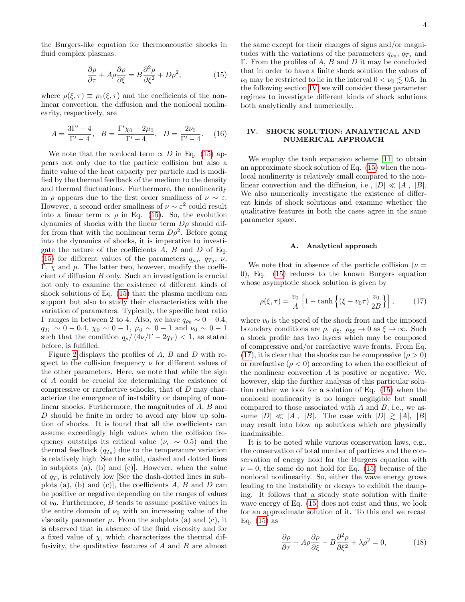<span id="page-3-0"></span>
$$
\frac{\partial \rho}{\partial \tau} + A \rho \frac{\partial \rho}{\partial \xi} = B \frac{\partial^2 \rho}{\partial \xi^2} + D \rho^2, \tag{15}
$$

where  $\rho(\xi, \tau) \equiv \rho_1(\xi, \tau)$  and the coefficients of the nonlinear convection, the diffusion and the nonlocal nonlinearity, respectively, are

$$
A = \frac{3\Gamma' - 4}{\Gamma' - 4}, \quad B = \frac{\Gamma'\chi_0 - 2\mu_0}{\Gamma' - 4}, \quad D = \frac{2\nu_0}{\Gamma' - 4}.
$$
 (16)

We note that the nonlocal term  $\propto D$  in Eq. [\(15\)](#page-3-0) appears not only due to the particle collision but also a finite value of the heat capacity per particle and is modified by the thermal feedback of the medium to the density and thermal fluctuations. Furthermore, the nonlinearity in  $\rho$  appears due to the first order smallness of  $\nu \sim \varepsilon$ . However, a second order smallness of  $\nu \sim \varepsilon^2$  could result into a linear term  $\propto \rho$  in Eq. [\(15\)](#page-3-0). So, the evolution dynamics of shocks with the linear term  $D\rho$  should differ from that with the nonlinear term  $D\rho^2$ . Before going into the dynamics of shocks, it is imperative to investigate the nature of the coefficients  $A$ ,  $B$  and  $D$  of Eq. [\(15\)](#page-3-0) for different values of the parameters  $q_{\rho_0}$ ,  $q_{T_0}$ ,  $\nu$ , Γ,  $\chi$  and  $\mu$ . The latter two, however, modify the coefficient of diffusion B only. Such an investigation is crucial not only to examine the existence of different kinds of shock solutions of Eq. [\(15\)](#page-3-0) that the plasma medium can support but also to study their characteristics with the variation of parameters. Typically, the specific heat ratio Γ ranges in between 2 to 4. Also, we have  $q_{ρ0}$  ~ 0 − 0.4,  $q_{T_0} \sim 0 - 0.4$ ,  $\chi_0 \sim 0 - 1$ ,  $\mu_0 \sim 0 - 1$  and  $\nu_0 \sim 0 - 1$ such that the condition  $q_{\rho}/(4\nu/\Gamma - 2q_T) < 1$ , as stated before, is fulfilled.

Figure [2](#page-4-0) displays the profiles of A, B and D with respect to the collision frequency  $\nu$  for different values of the other parameters. Here, we note that while the sign of A could be crucial for determining the existence of compressive or rarefactive schocks, that of D may characterize the emergence of instability or damping of nonlinear shocks. Furthermore, the magnitudes of A, B and D should be finite in order to avoid any blow up solution of shocks. It is found that all the coefficients can assume exceedingly high values when the collision frequency outstrips its critical value ( $\nu_c \sim 0.5$ ) and the thermal feedback  $(q_{T_0})$  due to the temperature variation is relatively high [See the solid, dashed and dotted lines in subplots (a), (b) and (c)]. However, when the value of  $q_{T_0}$  is relatively low [See the dash-dotted lines in subplots (a), (b) and (c)], the coefficients  $A, B$  and  $D$  can be positive or negative depending on the ranges of values of  $\nu_0$ . Furthermore, B tends to assume positive values in the entire domain of  $\nu_0$  with an increasing value of the viscosity parameter  $\mu$ . From the subplots (a) and (c), it is observed that in absence of the fluid viscosity and for a fixed value of  $\chi$ , which characterizes the thermal diffusivity, the qualitative features of  $A$  and  $B$  are almost

the same except for their changes of signs and/or magnitudes with the variations of the parameters  $q_{\rho_0}$ ,  $q_{T_0}$  and Γ. From the profiles of A, B and D it may be concluded that in order to have a finite shock solution the values of  $\nu_0$  may be restricted to lie in the interval  $0 < \nu_0 \leq 0.5$ . In the following section [IV,](#page-3-1) we will consider these parameter regimes to investigate different kinds of shock solutions both analytically and numerically.

## <span id="page-3-1"></span>IV. SHOCK SOLUTION: ANALYTICAL AND NUMERICAL APPROACH

We employ the tanh expansion scheme [\[11\]](#page-8-9) to obtain an approximate shock solution of Eq. [\(15\)](#page-3-0) when the nonlocal nonlinerity is relatively small compared to the nonlinear convection and the diffusion, i.e.,  $|D| \ll |A|, |B|$ . We also numerically investigate the existence of different kinds of shock solutions and examine whether the qualitative features in both the cases agree in the same parameter space.

## A. Analytical approach

We note that in absence of the particle collision ( $\nu =$ 0), Eq. [\(15\)](#page-3-0) reduces to the known Burgers equation whose asymptotic shock solution is given by

<span id="page-3-2"></span>
$$
\rho(\xi,\tau) = \frac{v_0}{A} \left[ 1 - \tanh\left\{ (\xi - v_0 \tau) \frac{v_0}{2B} \right\} \right],\tag{17}
$$

where  $v_0$  is the speed of the shock front and the imposed boundary conditions are  $\rho$ ,  $\rho_{\xi}$ ,  $\rho_{\xi\xi} \to 0$  as  $\xi \to \infty$ . Such a shock profile has two layers which may be composed of compressive and/or rarefactive wave fronts. From Eq. [\(17\)](#page-3-2), it is clear that the shocks can be compressive ( $\rho > 0$ ) or rarefactive  $(\rho < 0)$  according to when the coefficient of the nonlinear convection  $A$  is positive or negative. We, however, skip the further analysis of this particular solution rather we look for a solution of Eq. [\(15\)](#page-3-0) when the nonlocal nonlinearity is no longer negligible but small compared to those associated with A and B, i.e., we assume  $|D| \ll |A|, |B|$ . The case with  $|D| \gtrsim |A|, |B|$ may result into blow up solutions which are physically inadmissible.

It is to be noted while various conservation laws, e.g., the conservation of total number of particles and the conservation of energy hold for the Burgers equation with  $\nu = 0$ , the same do not hold for Eq. [\(15\)](#page-3-0) because of the nonlocal nonlinearity. So, either the wave energy grows leading to the instability or decays to exhibit the damping. It follows that a steady state solution with finite wave energy of Eq. [\(15\)](#page-3-0) does not exist and thus, we look for an approximate solution of it. To this end we recast Eq.  $(15)$  as

<span id="page-3-3"></span>
$$
\frac{\partial \rho}{\partial \tau} + A\rho \frac{\partial \rho}{\partial \xi} - B \frac{\partial^2 \rho}{\partial \xi^2} + \lambda \rho^2 = 0, \tag{18}
$$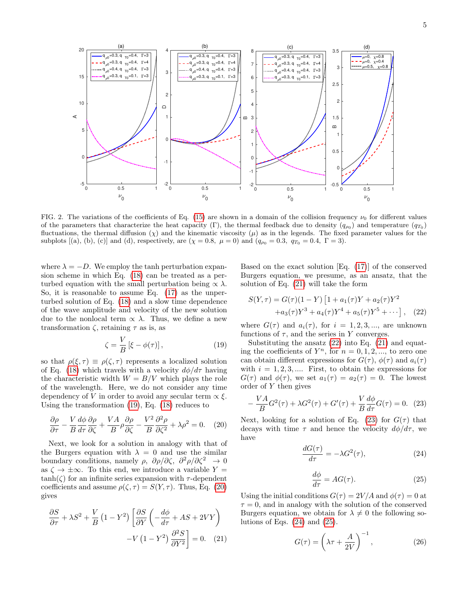

<span id="page-4-0"></span>FIG. 2. The variations of the coefficients of Eq. [\(15\)](#page-3-0) are shown in a domain of the collision frequency  $\nu_0$  for different values of the parameters that characterize the heat capacity (Γ), the thermal feedback due to density  $(q_{\rho_0})$  and temperature  $(q_{T_0})$ fluctuations, the thermal diffusion  $(\chi)$  and the kinematic viscosity  $(\mu)$  as in the legends. The fixed parameter values for the subplots [(a), (b), (c)] and (d), respectively, are ( $\chi = 0.8$ ,  $\mu = 0$ ) and ( $q_{\rho_0} = 0.3$ ,  $q_{T_0} = 0.4$ ,  $\Gamma = 3$ ).

where  $\lambda = -D$ . We employ the tanh perturbation expansion scheme in which Eq. [\(18\)](#page-3-3) can be treated as a perturbed equation with the small perturbation being  $\propto \lambda$ . So, it is reasonable to assume Eq. [\(17\)](#page-3-2) as the unperturbed solution of Eq. [\(18\)](#page-3-3) and a slow time dependence of the wave amplitude and velocity of the new solution due to the nonlocal term  $\propto \lambda$ . Thus, we define a new transformation  $\zeta$ , retaining τ as is, as

<span id="page-4-1"></span>
$$
\zeta = \frac{V}{B} \left[ \xi - \phi(\tau) \right],\tag{19}
$$

so that  $\rho(\xi, \tau) \equiv \rho(\zeta, \tau)$  represents a localized solution of Eq. [\(18\)](#page-3-3) which travels with a velocity  $d\phi/d\tau$  having the characteristic width  $W = B/V$  which plays the role of the wavelength. Here, we do not consider any time dependency of V in order to avoid any secular term  $\propto \xi$ . Using the transformation [\(19\)](#page-4-1), Eq. [\(18\)](#page-3-3) reduces to

<span id="page-4-2"></span>
$$
\frac{\partial \rho}{\partial \tau} - \frac{V}{B} \frac{d\phi}{d\tau} \frac{\partial \rho}{\partial \zeta} + \frac{VA}{B} \rho \frac{\partial \rho}{\partial \zeta} - \frac{V^2}{B} \frac{\partial^2 \rho}{\partial \zeta^2} + \lambda \rho^2 = 0. \quad (20)
$$

Next, we look for a solution in analogy with that of the Burgers equation with  $\lambda = 0$  and use the similar boundary conditions, namely  $\rho$ ,  $\partial \rho / \partial \zeta$ ,  $\partial^2 \rho / \partial \zeta^2 \rightarrow 0$ as  $\zeta \to \pm \infty$ . To this end, we introduce a variable Y =  $tanh(\zeta)$  for an infinite series expansion with  $\tau$ -dependent coefficients and assume  $\rho(\zeta, \tau) = S(Y, \tau)$ . Thus, Eq. [\(20\)](#page-4-2) gives

$$
\frac{\partial S}{\partial \tau} + \lambda S^2 + \frac{V}{B} (1 - Y^2) \left[ \frac{\partial S}{\partial Y} \left( -\frac{d\phi}{d\tau} + AS + 2VY \right) - V (1 - Y^2) \frac{\partial^2 S}{\partial Y^2} \right] = 0. \quad (21)
$$

Based on the exact solution [Eq. [\(17\)](#page-3-2)] of the conserved Burgers equation, we presume, as an ansatz, that the solution of Eq. [\(21\)](#page-4-3) will take the form

<span id="page-4-4"></span>
$$
S(Y,\tau) = G(\tau)(1-Y) \left[ 1 + a_1(\tau)Y + a_2(\tau)Y^2 + a_3(\tau)Y^3 + a_4(\tau)Y^4 + a_5(\tau)Y^5 + \cdots \right], \quad (22)
$$

where  $G(\tau)$  and  $a_i(\tau)$ , for  $i = 1, 2, 3, \dots$ , are unknown functions of  $\tau$ , and the series in Y converges.

Substituting the ansatz  $(22)$  into Eq.  $(21)$  and equating the coefficients of  $Y^n$ , for  $n = 0, 1, 2, \dots$ , to zero one can obtain different expressions for  $G(\tau)$ ,  $\phi(\tau)$  and  $a_i(\tau)$ with  $i = 1, 2, 3, \dots$  First, to obtain the expressions for  $G(\tau)$  and  $\phi(\tau)$ , we set  $a_1(\tau) = a_2(\tau) = 0$ . The lowest order of Y then gives

<span id="page-4-5"></span>
$$
-\frac{VA}{B}G^{2}(\tau) + \lambda G^{2}(\tau) + G'(\tau) + \frac{V}{B}\frac{d\phi}{d\tau}G(\tau) = 0.
$$
 (23)

Next, looking for a solution of Eq. [\(23\)](#page-4-5) for  $G(\tau)$  that decays with time  $\tau$  and hence the velocity  $d\phi/d\tau$ , we have

<span id="page-4-6"></span>
$$
\frac{dG(\tau)}{d\tau} = -\lambda G^2(\tau),\tag{24}
$$

<span id="page-4-7"></span>
$$
\frac{d\phi}{d\tau} = AG(\tau). \tag{25}
$$

<span id="page-4-3"></span>Using the initial conditions  $G(\tau) = 2V/A$  and  $\phi(\tau) = 0$  at  $\tau = 0$ , and in analogy with the solution of the conserved Burgers equation, we obtain for  $\lambda \neq 0$  the following solutions of Eqs.  $(24)$  and  $(25)$ .

<span id="page-4-8"></span>
$$
G(\tau) = \left(\lambda \tau + \frac{A}{2V}\right)^{-1},\tag{26}
$$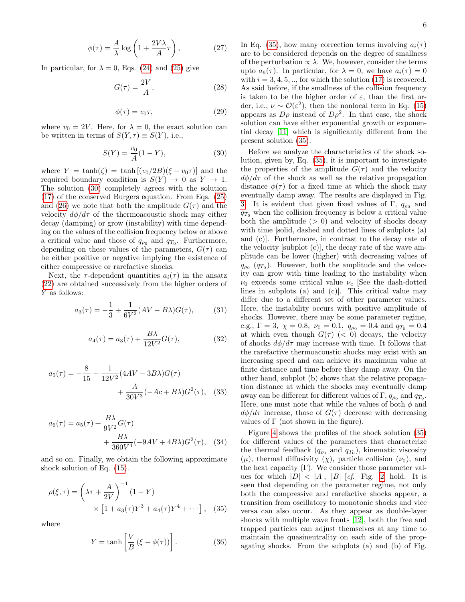$$
\phi(\tau) = \frac{A}{\lambda} \log \left( 1 + \frac{2V\lambda}{A} \tau \right),\tag{27}
$$

In particular, for  $\lambda = 0$ , Eqs. [\(24\)](#page-4-6) and [\(25\)](#page-4-7) give

$$
G(\tau) = \frac{2V}{A},\tag{28}
$$

$$
\phi(\tau) = v_0 \tau,\tag{29}
$$

where  $v_0 = 2V$ . Here, for  $\lambda = 0$ , the exact solution can be written in terms of  $S(Y, \tau) \equiv S(Y)$ , i.e.,

<span id="page-5-0"></span>
$$
S(Y) = \frac{v_0}{A}(1 - Y),
$$
\n(30)

where  $Y = \tanh(\zeta) = \tanh[(v_0/2B)(\xi - v_0\tau)]$  and the required boundary condition is  $S(Y) \rightarrow 0$  as  $Y \rightarrow 1$ . The solution [\(30\)](#page-5-0) completely agrees with the solution [\(17\)](#page-3-2) of the conserved Burgers equation. From Eqs. [\(25\)](#page-4-7) and [\(26\)](#page-4-8) we note that both the amplitude  $G(\tau)$  and the velocity  $d\phi/d\tau$  of the thermoacoustic shock may either decay (damping) or grow (instability) with time depending on the values of the collision frequency below or above a critical value and those of  $q_{\rho_0}$  and  $q_{T_0}$ . Furthermore, depending on these values of the parameters,  $G(\tau)$  can be either positive or negative implying the existence of either compressive or rarefactive shocks.

Next, the  $\tau$ -dependent quantities  $a_i(\tau)$  in the ansatz [\(22\)](#page-4-4) are obtained successively from the higher orders of Y as follows:

$$
a_3(\tau) = -\frac{1}{3} + \frac{1}{6V^2} (AV - B\lambda) G(\tau), \tag{31}
$$

$$
a_4(\tau) = a_3(\tau) + \frac{B\lambda}{12V^2}G(\tau),
$$
\n(32)

$$
a_5(\tau) = -\frac{8}{15} + \frac{1}{12V^2} (4AV - 3B\lambda)G(\tau) + \frac{A}{30V^3} (-Ac + B\lambda)G^2(\tau), \quad (33)
$$

$$
a_6(\tau) = a_5(\tau) + \frac{B\lambda}{9V^2}G(\tau)
$$
  
+ 
$$
\frac{B\lambda}{360V^4}(-9AV + 4B\lambda)G^2(\tau), \quad (34)
$$

and so on. Finally, we obtain the following approximate shock solution of Eq. [\(15\)](#page-3-0).

$$
\rho(\xi,\tau) = \left(\lambda\tau + \frac{A}{2V}\right)^{-1} (1 - Y) \times \left[1 + a_3(\tau)Y^3 + a_4(\tau)Y^4 + \cdots\right], \quad (35)
$$

where

$$
Y = \tanh\left[\frac{V}{B}\left(\xi - \phi(\tau)\right)\right].\tag{36}
$$

In Eq. [\(35\)](#page-5-1), how many correction terms involving  $a_i(\tau)$ are to be considered depends on the degree of smallness of the perturbation  $\propto \lambda$ . We, however, consider the terms upto  $a_6(\tau)$ . In particular, for  $\lambda = 0$ , we have  $a_i(\tau) = 0$ with  $i = 3, 4, 5, \dots$ , for which the solution [\(17\)](#page-3-2) is recovered. As said before, if the smallness of the collision frequency is taken to be the higher order of  $\varepsilon$ , than the first order, i.e.,  $\nu \sim \mathcal{O}(\varepsilon^2)$ , then the nonlocal term in Eq. [\(15\)](#page-3-0) appears as  $D\rho$  instead of  $D\rho^2$ . In that case, the shock solution can have either exponential growth or exponential decay [\[11\]](#page-8-9) which is significantly different from the present solution [\(35\)](#page-5-1).

Before we analyze the characteristics of the shock solution, given by, Eq. [\(35\)](#page-5-1), it is important to investigate the properties of the amplitude  $G(\tau)$  and the velocity  $d\phi/d\tau$  of the shock as well as the relative propagation distance  $\phi(\tau)$  for a fixed time at which the shock may eventually damp away. The results are displayed in Fig. [3.](#page-6-0) It is evident that given fixed values of  $\Gamma$ ,  $q_{\rho_0}$  and  $q_{T_0}$  when the collision frequency is below a critical value both the amplitude  $(> 0)$  and velocity of shocks decay with time [solid, dashed and dotted lines of subplots (a) and (c)]. Furthermore, in contrast to the decay rate of the velocity [subplot (c)], the decay rate of the wave amplitude can be lower (higher) with decreasing values of  $q_{\rho_0}$  ( $q_{T_0}$ ). However, both the amplitude and the velocity can grow with time leading to the instability when  $\nu_0$  exceeds some critical value  $\nu_c$  See the dash-dotted lines in subplots (a) and (c)]. This critical value may differ due to a different set of other parameter values. Here, the instability occurs with positive amplitude of shocks. However, there may be some parameter regime, e.g.,  $\Gamma = 3$ ,  $\chi = 0.8$ ,  $\nu_0 = 0.1$ ,  $q_{\rho_0} = 0.4$  and  $q_{T_0} = 0.4$ at which even though  $G(\tau)$  (< 0) decays, the velocity of shocks  $d\phi/d\tau$  may increase with time. It follows that the rarefactive thermoacoustic shocks may exist with an increasing speed and can achieve its maximum value at finite distance and time before they damp away. On the other hand, subplot (b) shows that the relative propagation distance at which the shocks may eventually damp away can be different for different values of  $\Gamma$ ,  $q_{\rho_0}$  and  $q_{T_0}$ . Here, one must note that while the values of both  $\phi$  and  $d\phi/d\tau$  increase, those of  $G(\tau)$  decrease with decreasing values of  $\Gamma$  (not shown in the figure).

<span id="page-5-1"></span>Figure [4](#page-6-1) shows the profiles of the shock solution [\(35\)](#page-5-1) for different values of the parameters that characterize the thermal feedback  $(q_{\rho_0}$  and  $q_{T_0})$ , kinematic viscosity  $(\mu)$ , thermal diffusivity  $(\chi)$ , particle collision  $(\nu_0)$ , and the heat capacity  $(Γ)$ . We consider those parameter values for which  $|D| < |A|, |B|$  [cf. Fig. [2\]](#page-4-0) hold. It is seen that depending on the parameter regime, not only both the compressive and rarefactive shocks appear, a transition from oscillatory to monotonic shocks and vice versa can also occur. As they appear as double-layer shocks with multiple wave fronts [\[12\]](#page-8-10), both the free and trapped particles can adjust themselves at any time to maintain the quasineutrality on each side of the propagating shocks. From the subplots (a) and (b) of Fig.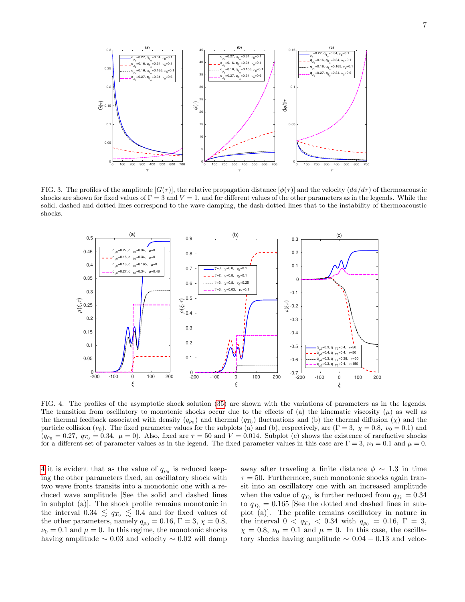

<span id="page-6-0"></span>FIG. 3. The profiles of the amplitude  $[G(\tau)]$ , the relative propagation distance  $[\phi(\tau)]$  and the velocity  $(d\phi/d\tau)$  of thermoacoustic shocks are shown for fixed values of  $\Gamma = 3$  and  $V = 1$ , and for different values of the other parameters as in the legends. While the solid, dashed and dotted lines correspond to the wave damping, the dash-dotted lines that to the instability of thermoacoustic shocks.



<span id="page-6-1"></span>FIG. 4. The profiles of the asymptotic shock solution [\(35\)](#page-5-1) are shown with the variations of parameters as in the legends. The transition from oscillatory to monotonic shocks occur due to the effects of (a) the kinematic viscosity  $(\mu)$  as well as the thermal feedback associated with density  $(q_{p_0})$  and thermal  $(q_{T_0})$  fluctuations and (b) the thermal diffusion  $(\chi)$  and the particle collision  $(\nu_0)$ . The fixed parameter values for the subplots (a) and (b), respectively, are (Γ = 3,  $\chi = 0.8$ ,  $\nu_0 = 0.1$ ) and  $(q_{\rho_0} = 0.27, q_{T_0} = 0.34, \mu = 0)$ . Also, fixed are  $\tau = 50$  and  $V = 0.014$ . Subplot (c) shows the existence of rarefactive shocks for a different set of parameter values as in the legend. The fixed parameter values in this case are  $\Gamma = 3$ ,  $\nu_0 = 0.1$  and  $\mu = 0$ .

[4](#page-6-1) it is evident that as the value of  $q_{\rho_0}$  is reduced keeping the other parameters fixed, an oscillatory shock with two wave fronts transits into a monotonic one with a reduced wave amplitude [See the solid and dashed lines in subplot (a)]. The shock profile remains monotonic in the interval  $0.34 \lesssim q_{T_0} \lesssim 0.4$  and for fixed values of the other parameters, namely  $q_{\rho_0} = 0.16$ ,  $\Gamma = 3$ ,  $\chi = 0.8$ ,  $\nu_0 = 0.1$  and  $\mu = 0$ . In this regime, the monotonic shocks having amplitude  $\sim 0.03$  and velocity  $\sim 0.02$  will damp

away after traveling a finite distance  $\phi \sim 1.3$  in time  $\tau = 50$ . Furthermore, such monotonic shocks again transit into an oscillatory one with an increased amplitude when the value of  $q_{T_0}$  is further reduced from  $q_{T_0} = 0.34$ to  $q_{T_0} = 0.165$  [See the dotted and dashed lines in subplot (a)]. The profile remains oscillatory in nature in the interval  $0 < q_{T_0} < 0.34$  with  $q_{\rho_0} = 0.16$ ,  $\Gamma = 3$ ,  $\chi = 0.8, \nu_0 = 0.1$  and  $\mu = 0$ . In this case, the oscillatory shocks having amplitude  $\sim 0.04 - 0.13$  and veloc-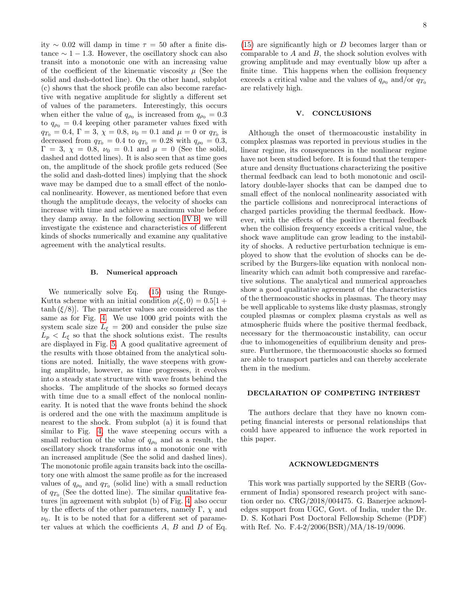ity ∼ 0.02 will damp in time τ = 50 after a finite distance  $\sim 1 - 1.3$ . However, the oscillatory shock can also transit into a monotonic one with an increasing value of the coefficient of the kinematic viscosity  $\mu$  (See the solid and dash-dotted line). On the other hand, subplot (c) shows that the shock profile can also become rarefactive with negative amplitude for slightly a different set of values of the parameters. Interestingly, this occurs when either the value of  $q_{\rho_0}$  is increased from  $q_{\rho_0} = 0.3$ to  $q_{\rho_0} = 0.4$  keeping other parameter values fixed with  $q_{T_0} = 0.4, \Gamma = 3, \chi = 0.8, \nu_0 = 0.1 \text{ and } \mu = 0 \text{ or } q_{T_0} \text{ is}$ decreased from  $q_{T_0} = 0.4$  to  $q_{T_0} = 0.28$  with  $q_{\rho_0} = 0.3$ ,  $Γ = 3, χ = 0.8, ν_0 = 0.1$  and  $μ = 0$  (See the solid, dashed and dotted lines). It is also seen that as time goes on, the amplitude of the shock profile gets reduced (See the solid and dash-dotted lines) implying that the shock wave may be damped due to a small effect of the nonlocal nonlinearity. However, as mentioned before that even though the amplitude decays, the velocity of shocks can increase with time and achieve a maximum value before they damp away. In the following section [IV B,](#page-7-0) we will investigate the existence and characteristics of different kinds of shocks numerically and examine any qualitative agreement with the analytical results.

#### <span id="page-7-0"></span>B. Numerical approach

We numerically solve Eq. [\(15\)](#page-3-0) using the Runge-Kutta scheme with an initial condition  $\rho(\xi, 0) = 0.5[1 +$  $tanh(\xi/8)$ . The parameter values are considered as the same as for Fig. [4.](#page-6-1) We use 1000 grid points with the system scale size  $L_{\xi} = 200$  and consider the pulse size  $L_p < L_{\xi}$  so that the shock solutions exist. The results are displayed in Fig. [5.](#page-8-11) A good qualitative agreement of the results with those obtained from the analytical solutions are noted. Initially, the wave steepens with growing amplitude, however, as time progresses, it evolves into a steady state structure with wave fronts behind the shocks. The amplitude of the shocks so formed decays with time due to a small effect of the nonlocal nonlinearity. It is noted that the wave fronts behind the shock is ordered and the one with the maximum amplitude is nearest to the shock. From subplot (a) it is found that similar to Fig. [4,](#page-6-1) the wave steepening occurs with a small reduction of the value of  $q_{\rho_0}$  and as a result, the oscillatory shock transforms into a monotonic one with an increased amplitude (See the solid and dashed lines). The monotonic profile again transits back into the oscillatory one with almost the same profile as for the increased values of  $q_{\rho_0}$  and  $q_{T_0}$  (solid line) with a small reduction of  $q_{T_0}$  (See the dotted line). The similar qualitative features [in agreement with subplot (b) of Fig. [4\]](#page-6-1) also occur by the effects of the other parameters, namely Γ,  $\chi$  and  $\nu_0$ . It is to be noted that for a different set of parameter values at which the coefficients  $A, B$  and  $D$  of Eq.

 $(15)$  are significantly high or D becomes larger than or comparable to  $A$  and  $B$ , the shock solution evolves with growing amplitude and may eventually blow up after a finite time. This happens when the collision frequency exceeds a critical value and the values of  $q_{\rho_0}$  and/or  $q_{T_0}$ are relatively high.

### V. CONCLUSIONS

Although the onset of thermoacoustic instability in complex plasmas was reported in previous studies in the linear regime, its consequences in the nonlinear regime have not been studied before. It is found that the temperature and density fluctuations characterizing the positive thermal feedback can lead to both monotonic and oscillatory double-layer shocks that can be damped due to small effect of the nonlocal nonlinearity associated with the particle collisions and nonreciprocal interactions of charged particles providing the thermal feedback. However, with the effects of the positive thermal feedback when the collision frequency exceeds a critical value, the shock wave amplitude can grow leading to the instability of shocks. A reductive perturbation technique is employed to show that the evolution of shocks can be described by the Burgers-like equation with nonlocal nonlinearity which can admit both compressive and rarefactive solutions. The analytical and numerical approaches show a good qualitative agreement of the characteristics of the thermoacoustic shocks in plasmas. The theory may be well applicable to systems like dusty plasmas, strongly coupled plasmas or complex plasma crystals as well as atmospheric fluids where the positive thermal feedback, necessary for the thermoacoustic instability, can occur due to inhomogeneities of equilibrium density and pressure. Furthermore, the thermoacoustic shocks so formed are able to transport particles and can thereby accelerate them in the medium.

# DECLARATION OF COMPETING INTEREST

The authors declare that they have no known competing financial interests or personal relationships that could have appeared to influence the work reported in this paper.

# ACKNOWLEDGMENTS

This work was partially supported by the SERB (Government of India) sponsored research project with sanction order no. CRG/2018/004475. G. Banerjee acknowledges support from UGC, Govt. of India, under the Dr. D. S. Kothari Post Doctoral Fellowship Scheme (PDF) with Ref. No. F.4-2/2006(BSR)/MA/18-19/0096.